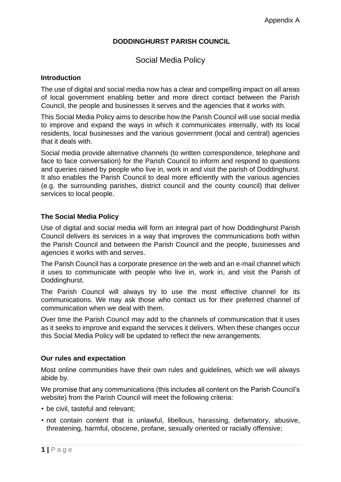# **DODDINGHURST PARISH COUNCIL**

# Social Media Policy

### **Introduction**

The use of digital and social media now has a clear and compelling impact on all areas of local government enabling better and more direct contact between the Parish Council, the people and businesses it serves and the agencies that it works with.

This Social Media Policy aims to describe how the Parish Council will use social media to improve and expand the ways in which it communicates internally, with its local residents, local businesses and the various government (local and central) agencies that it deals with.

Social media provide alternative channels (to written correspondence, telephone and face to face conversation) for the Parish Council to inform and respond to questions and queries raised by people who live in, work in and visit the parish of Doddinghurst. It also enables the Parish Council to deal more efficiently with the various agencies (e.g. the surrounding parishes, district council and the county council) that deliver services to local people.

#### **The Social Media Policy**

Use of digital and social media will form an integral part of how Doddinghurst Parish Council delivers its services in a way that improves the communications both within the Parish Council and between the Parish Council and the people, businesses and agencies it works with and serves.

The Parish Council has a corporate presence on the web and an e-mail channel which it uses to communicate with people who live in, work in, and visit the Parish of Doddinghurst.

The Parish Council will always try to use the most effective channel for its communications. We may ask those who contact us for their preferred channel of communication when we deal with them.

Over time the Parish Council may add to the channels of communication that it uses as it seeks to improve and expand the services it delivers. When these changes occur this Social Media Policy will be updated to reflect the new arrangements.

#### **Our rules and expectation**

Most online communities have their own rules and guidelines, which we will always abide by.

We promise that any communications (this includes all content on the Parish Council's website) from the Parish Council will meet the following criteria:

- be civil, tasteful and relevant;
- not contain content that is unlawful, libellous, harassing, defamatory, abusive, threatening, harmful, obscene, profane, sexually oriented or racially offensive;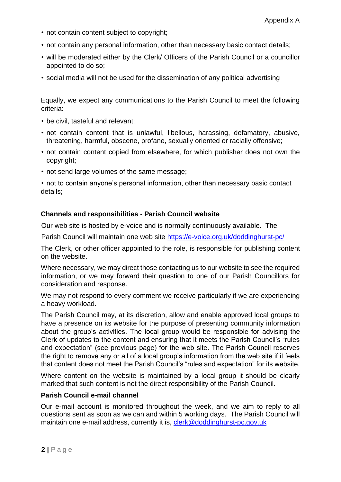- not contain content subject to copyright;
- not contain any personal information, other than necessary basic contact details;
- will be moderated either by the Clerk/ Officers of the Parish Council or a councillor appointed to do so;
- social media will not be used for the dissemination of any political advertising

Equally, we expect any communications to the Parish Council to meet the following criteria:

- be civil, tasteful and relevant;
- not contain content that is unlawful, libellous, harassing, defamatory, abusive, threatening, harmful, obscene, profane, sexually oriented or racially offensive;
- not contain content copied from elsewhere, for which publisher does not own the copyright;
- not send large volumes of the same message;

• not to contain anyone's personal information, other than necessary basic contact details;

#### **Channels and responsibilities** - **Parish Council website**

Our web site is hosted by e-voice and is normally continuously available. The

Parish Council will maintain one web site<https://e-voice.org.uk/doddinghurst-pc/>

The Clerk, or other officer appointed to the role, is responsible for publishing content on the website.

Where necessary, we may direct those contacting us to our website to see the required information, or we may forward their question to one of our Parish Councillors for consideration and response.

We may not respond to every comment we receive particularly if we are experiencing a heavy workload.

The Parish Council may, at its discretion, allow and enable approved local groups to have a presence on its website for the purpose of presenting community information about the group's activities. The local group would be responsible for advising the Clerk of updates to the content and ensuring that it meets the Parish Council's "rules and expectation" (see previous page) for the web site. The Parish Council reserves the right to remove any or all of a local group's information from the web site if it feels that content does not meet the Parish Council's "rules and expectation" for its website.

Where content on the website is maintained by a local group it should be clearly marked that such content is not the direct responsibility of the Parish Council.

#### **Parish Council e-mail channel**

Our e-mail account is monitored throughout the week, and we aim to reply to all questions sent as soon as we can and within 5 working days. The Parish Council will maintain one e-mail address, currently it is, clerk@doddinghurst-pc.gov.uk